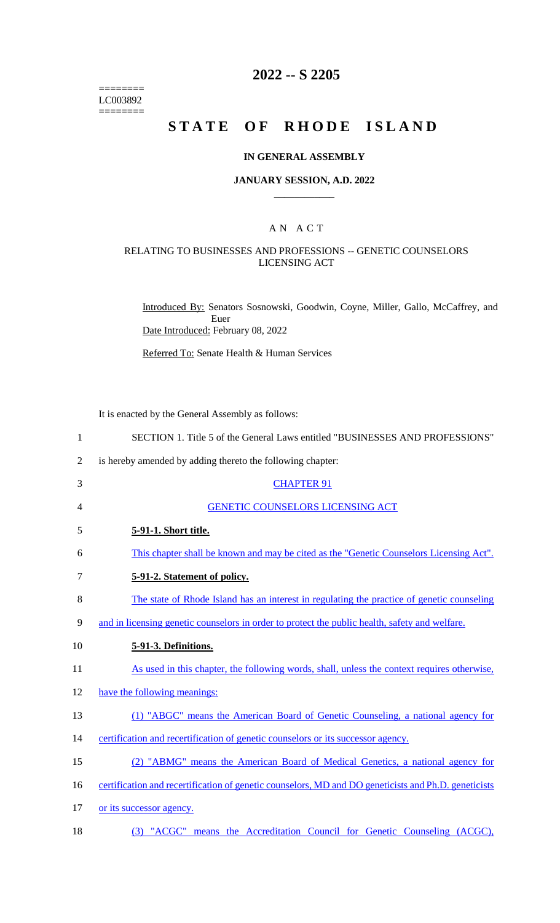======== LC003892 ========

# **2022 -- S 2205**

# **STATE OF RHODE ISLAND**

#### **IN GENERAL ASSEMBLY**

#### **JANUARY SESSION, A.D. 2022 \_\_\_\_\_\_\_\_\_\_\_\_**

## A N A C T

## RELATING TO BUSINESSES AND PROFESSIONS -- GENETIC COUNSELORS LICENSING ACT

Introduced By: Senators Sosnowski, Goodwin, Coyne, Miller, Gallo, McCaffrey, and Euer Date Introduced: February 08, 2022

Referred To: Senate Health & Human Services

It is enacted by the General Assembly as follows:

| $\mathbf{1}$   | SECTION 1. Title 5 of the General Laws entitled "BUSINESSES AND PROFESSIONS"                         |
|----------------|------------------------------------------------------------------------------------------------------|
| $\overline{2}$ | is hereby amended by adding thereto the following chapter:                                           |
| 3              | <b>CHAPTER 91</b>                                                                                    |
| 4              | <b>GENETIC COUNSELORS LICENSING ACT</b>                                                              |
| 5              | 5-91-1. Short title.                                                                                 |
| 6              | This chapter shall be known and may be cited as the "Genetic Counselors Licensing Act".              |
| $\tau$         | 5-91-2. Statement of policy.                                                                         |
| 8              | The state of Rhode Island has an interest in regulating the practice of genetic counseling           |
| 9              | and in licensing genetic counselors in order to protect the public health, safety and welfare.       |
| 10             | 5-91-3. Definitions.                                                                                 |
| 11             | As used in this chapter, the following words, shall, unless the context requires otherwise,          |
| 12             | have the following meanings:                                                                         |
| 13             | (1) "ABGC" means the American Board of Genetic Counseling, a national agency for                     |
| 14             | certification and recertification of genetic counselors or its successor agency.                     |
| 15             | (2) "ABMG" means the American Board of Medical Genetics, a national agency for                       |
| 16             | certification and recertification of genetic counselors, MD and DO geneticists and Ph.D. geneticists |
| 17             | or its successor agency.                                                                             |
| 18             | (3) "ACGC" means the Accreditation Council for Genetic Counseling (ACGC),                            |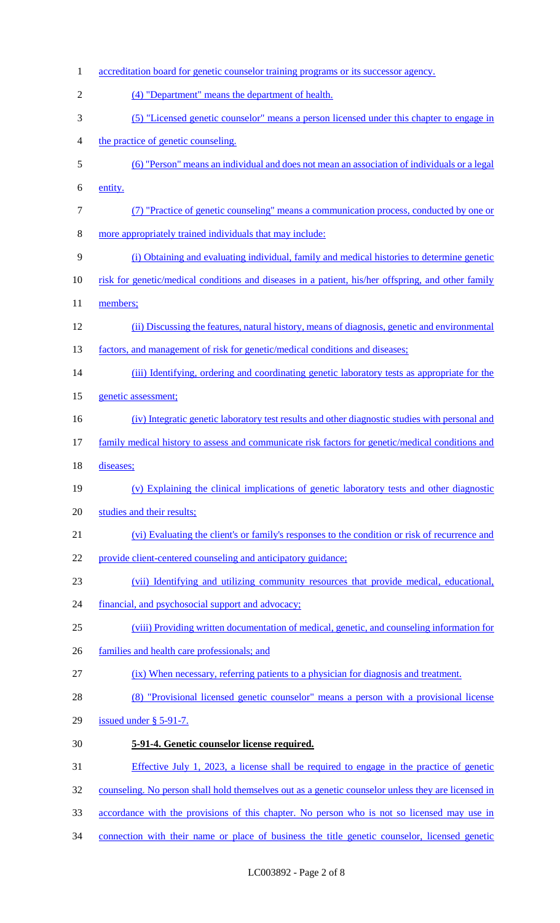| $\mathbf{1}$   | accreditation board for genetic counselor training programs or its successor agency.               |
|----------------|----------------------------------------------------------------------------------------------------|
| $\overline{2}$ | (4) "Department" means the department of health.                                                   |
| 3              | (5) "Licensed genetic counselor" means a person licensed under this chapter to engage in           |
| 4              | the practice of genetic counseling.                                                                |
| 5              | (6) "Person" means an individual and does not mean an association of individuals or a legal        |
| 6              | entity.                                                                                            |
| $\tau$         | (7) "Practice of genetic counseling" means a communication process, conducted by one or            |
| 8              | more appropriately trained individuals that may include:                                           |
| 9              | (i) Obtaining and evaluating individual, family and medical histories to determine genetic         |
| 10             | risk for genetic/medical conditions and diseases in a patient, his/her offspring, and other family |
| 11             | members;                                                                                           |
| 12             | (ii) Discussing the features, natural history, means of diagnosis, genetic and environmental       |
| 13             | factors, and management of risk for genetic/medical conditions and diseases;                       |
| 14             | (iii) Identifying, ordering and coordinating genetic laboratory tests as appropriate for the       |
| 15             | genetic assessment;                                                                                |
| 16             | (iv) Integratic genetic laboratory test results and other diagnostic studies with personal and     |
| 17             | family medical history to assess and communicate risk factors for genetic/medical conditions and   |
| 18             | diseases;                                                                                          |
| 19             | (v) Explaining the clinical implications of genetic laboratory tests and other diagnostic          |
| 20             | studies and their results;                                                                         |
| 21             | (vi) Evaluating the client's or family's responses to the condition or risk of recurrence and      |
| 22             | provide client-centered counseling and anticipatory guidance;                                      |
| 23             | (vii) Identifying and utilizing community resources that provide medical, educational,             |
| 24             | financial, and psychosocial support and advocacy;                                                  |
| 25             | (viii) Providing written documentation of medical, genetic, and counseling information for         |
| 26             | families and health care professionals; and                                                        |
| 27             | (ix) When necessary, referring patients to a physician for diagnosis and treatment.                |
| 28             | (8) "Provisional licensed genetic counselor" means a person with a provisional license             |
| 29             | issued under $\S$ 5-91-7.                                                                          |
| 30             | 5-91-4. Genetic counselor license required.                                                        |
| 31             | Effective July 1, 2023, a license shall be required to engage in the practice of genetic           |
| 32             | counseling. No person shall hold themselves out as a genetic counselor unless they are licensed in |
| 33             | accordance with the provisions of this chapter. No person who is not so licensed may use in        |
| 34             | connection with their name or place of business the title genetic counselor, licensed genetic      |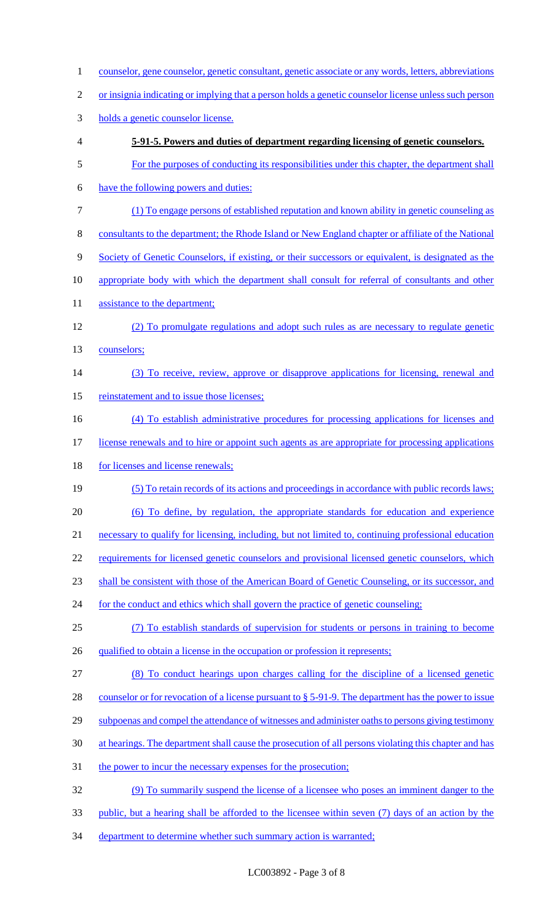1 counselor, gene counselor, genetic consultant, genetic associate or any words, letters, abbreviations or insignia indicating or implying that a person holds a genetic counselor license unless such person holds a genetic counselor license. **5-91-5. Powers and duties of department regarding licensing of genetic counselors.** For the purposes of conducting its responsibilities under this chapter, the department shall have the following powers and duties: (1) To engage persons of established reputation and known ability in genetic counseling as consultants to the department; the Rhode Island or New England chapter or affiliate of the National 9 Society of Genetic Counselors, if existing, or their successors or equivalent, is designated as the appropriate body with which the department shall consult for referral of consultants and other 11 assistance to the department; (2) To promulgate regulations and adopt such rules as are necessary to regulate genetic counselors; (3) To receive, review, approve or disapprove applications for licensing, renewal and 15 reinstatement and to issue those licenses; (4) To establish administrative procedures for processing applications for licenses and license renewals and to hire or appoint such agents as are appropriate for processing applications 18 for licenses and license renewals; (5) To retain records of its actions and proceedings in accordance with public records laws; (6) To define, by regulation, the appropriate standards for education and experience necessary to qualify for licensing, including, but not limited to, continuing professional education 22 requirements for licensed genetic counselors and provisional licensed genetic counselors, which shall be consistent with those of the American Board of Genetic Counseling, or its successor, and 24 for the conduct and ethics which shall govern the practice of genetic counseling; (7) To establish standards of supervision for students or persons in training to become 26 qualified to obtain a license in the occupation or profession it represents; (8) To conduct hearings upon charges calling for the discipline of a licensed genetic 28 counselor or for revocation of a license pursuant to § 5-91-9. The department has the power to issue 29 subpoenas and compel the attendance of witnesses and administer oaths to persons giving testimony at hearings. The department shall cause the prosecution of all persons violating this chapter and has 31 the power to incur the necessary expenses for the prosecution; (9) To summarily suspend the license of a licensee who poses an imminent danger to the public, but a hearing shall be afforded to the licensee within seven (7) days of an action by the 34 department to determine whether such summary action is warranted;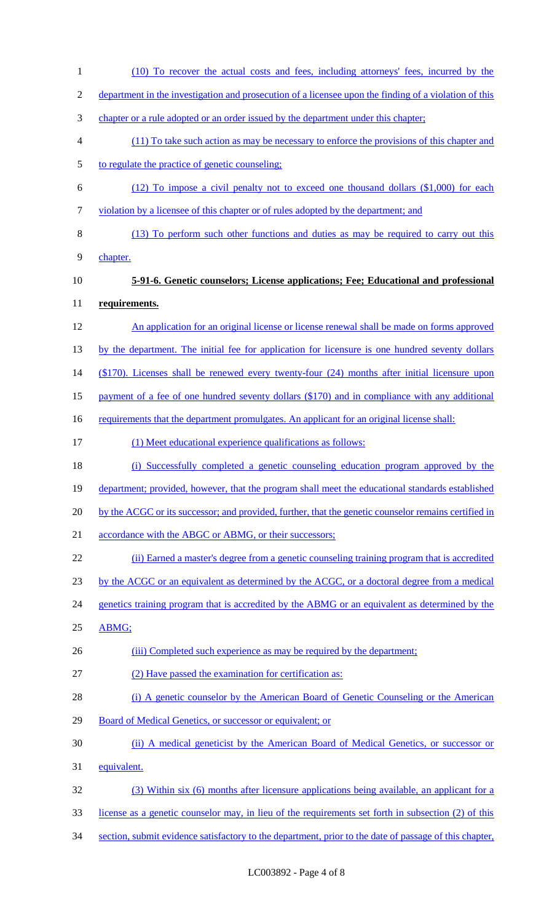(10) To recover the actual costs and fees, including attorneys' fees, incurred by the department in the investigation and prosecution of a licensee upon the finding of a violation of this chapter or a rule adopted or an order issued by the department under this chapter; (11) To take such action as may be necessary to enforce the provisions of this chapter and to regulate the practice of genetic counseling; (12) To impose a civil penalty not to exceed one thousand dollars (\$1,000) for each violation by a licensee of this chapter or of rules adopted by the department; and (13) To perform such other functions and duties as may be required to carry out this chapter. **5-91-6. Genetic counselors; License applications; Fee; Educational and professional requirements.** An application for an original license or license renewal shall be made on forms approved 13 by the department. The initial fee for application for licensure is one hundred seventy dollars (\$170). Licenses shall be renewed every twenty-four (24) months after initial licensure upon payment of a fee of one hundred seventy dollars (\$170) and in compliance with any additional 16 requirements that the department promulgates. An applicant for an original license shall: (1) Meet educational experience qualifications as follows: (i) Successfully completed a genetic counseling education program approved by the 19 department; provided, however, that the program shall meet the educational standards established by the ACGC or its successor; and provided, further, that the genetic counselor remains certified in 21 accordance with the ABGC or ABMG, or their successors; (ii) Earned a master's degree from a genetic counseling training program that is accredited by the ACGC or an equivalent as determined by the ACGC, or a doctoral degree from a medical 24 genetics training program that is accredited by the ABMG or an equivalent as determined by the ABMG; 26 (iii) Completed such experience as may be required by the department; (2) Have passed the examination for certification as: 28 (i) A genetic counselor by the American Board of Genetic Counseling or the American 29 Board of Medical Genetics, or successor or equivalent; or (ii) A medical geneticist by the American Board of Medical Genetics, or successor or equivalent. (3) Within six (6) months after licensure applications being available, an applicant for a license as a genetic counselor may, in lieu of the requirements set forth in subsection (2) of this 34 section, submit evidence satisfactory to the department, prior to the date of passage of this chapter,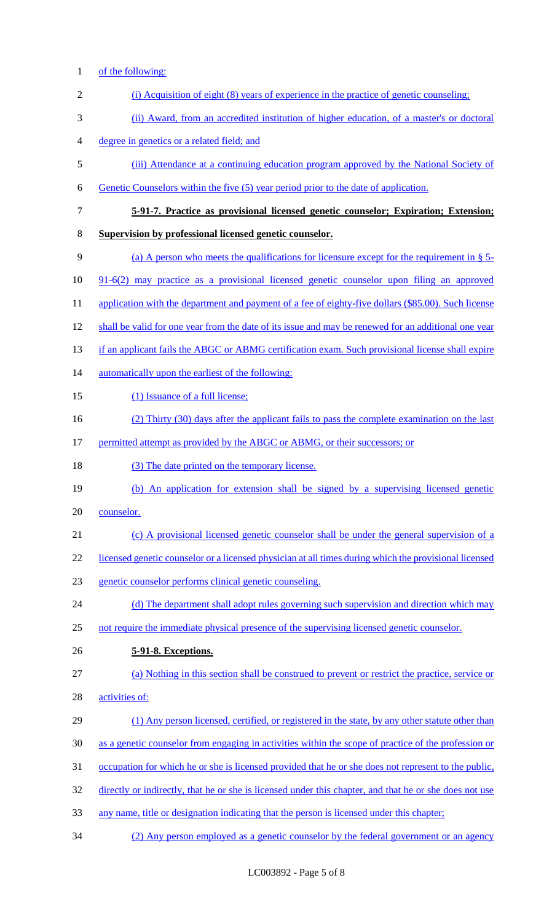1 of the following:

| $\overline{2}$ | (i) Acquisition of eight (8) years of experience in the practice of genetic counseling;                |
|----------------|--------------------------------------------------------------------------------------------------------|
| 3              | (ii) Award, from an accredited institution of higher education, of a master's or doctoral              |
| 4              | degree in genetics or a related field; and                                                             |
| 5              | (iii) Attendance at a continuing education program approved by the National Society of                 |
| 6              | Genetic Counselors within the five (5) year period prior to the date of application.                   |
| $\tau$         | 5-91-7. Practice as provisional licensed genetic counselor; Expiration; Extension;                     |
| $8\,$          | Supervision by professional licensed genetic counselor.                                                |
| 9              | (a) A person who meets the qualifications for licensure except for the requirement in $\S$ 5-          |
| 10             | 91-6(2) may practice as a provisional licensed genetic counselor upon filing an approved               |
| 11             | application with the department and payment of a fee of eighty-five dollars (\$85.00). Such license    |
| 12             | shall be valid for one year from the date of its issue and may be renewed for an additional one year   |
| 13             | if an applicant fails the ABGC or ABMG certification exam. Such provisional license shall expire       |
| 14             | automatically upon the earliest of the following:                                                      |
| 15             | (1) Issuance of a full license;                                                                        |
| 16             | (2) Thirty (30) days after the applicant fails to pass the complete examination on the last            |
| 17             | permitted attempt as provided by the ABGC or ABMG, or their successors; or                             |
| 18             | (3) The date printed on the temporary license.                                                         |
| 19             | (b) An application for extension shall be signed by a supervising licensed genetic                     |
| 20             | counselor.                                                                                             |
| 21             | (c) A provisional licensed genetic counselor shall be under the general supervision of a               |
| 22             | licensed genetic counselor or a licensed physician at all times during which the provisional licensed  |
| 23             | genetic counselor performs clinical genetic counseling.                                                |
| 24             | (d) The department shall adopt rules governing such supervision and direction which may                |
| 25             | not require the immediate physical presence of the supervising licensed genetic counselor.             |
| 26             | 5-91-8. Exceptions.                                                                                    |
| 27             | (a) Nothing in this section shall be construed to prevent or restrict the practice, service or         |
| 28             | activities of:                                                                                         |
| 29             | (1) Any person licensed, certified, or registered in the state, by any other statute other than        |
| 30             | as a genetic counselor from engaging in activities within the scope of practice of the profession or   |
| 31             | occupation for which he or she is licensed provided that he or she does not represent to the public,   |
| 32             | directly or indirectly, that he or she is licensed under this chapter, and that he or she does not use |
| 33             | any name, title or designation indicating that the person is licensed under this chapter;              |
| 34             | (2) Any person employed as a genetic counselor by the federal government or an agency                  |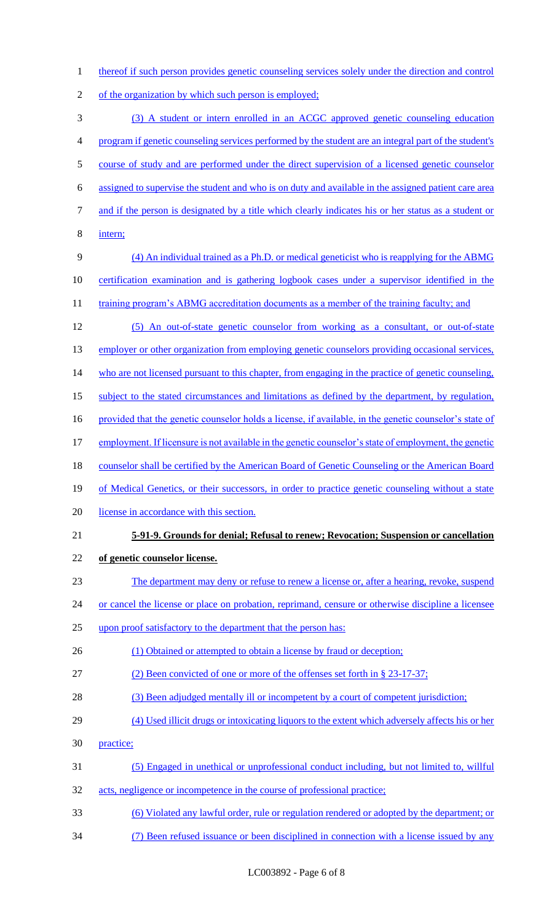1 thereof if such person provides genetic counseling services solely under the direction and control

- 2 of the organization by which such person is employed;
- 3 (3) A student or intern enrolled in an ACGC approved genetic counseling education 4 program if genetic counseling services performed by the student are an integral part of the student's 5 course of study and are performed under the direct supervision of a licensed genetic counselor 6 assigned to supervise the student and who is on duty and available in the assigned patient care area 7 and if the person is designated by a title which clearly indicates his or her status as a student or 8 intern; 9 (4) An individual trained as a Ph.D. or medical geneticist who is reapplying for the ABMG 10 certification examination and is gathering logbook cases under a supervisor identified in the 11 training program's ABMG accreditation documents as a member of the training faculty; and 12 (5) An out-of-state genetic counselor from working as a consultant, or out-of-state 13 employer or other organization from employing genetic counselors providing occasional services, 14 who are not licensed pursuant to this chapter, from engaging in the practice of genetic counseling, 15 subject to the stated circumstances and limitations as defined by the department, by regulation, 16 provided that the genetic counselor holds a license, if available, in the genetic counselor's state of 17 employment. If licensure is not available in the genetic counselor's state of employment, the genetic 18 counselor shall be certified by the American Board of Genetic Counseling or the American Board 19 of Medical Genetics, or their successors, in order to practice genetic counseling without a state 20 license in accordance with this section. 21 **5-91-9. Grounds for denial; Refusal to renew; Revocation; Suspension or cancellation**  22 **of genetic counselor license.** 23 The department may deny or refuse to renew a license or, after a hearing, revoke, suspend 24 or cancel the license or place on probation, reprimand, censure or otherwise discipline a licensee 25 upon proof satisfactory to the department that the person has: 26 (1) Obtained or attempted to obtain a license by fraud or deception; 27 (2) Been convicted of one or more of the offenses set forth in § 23-17-37; 28 (3) Been adjudged mentally ill or incompetent by a court of competent jurisdiction; 29 (4) Used illicit drugs or intoxicating liquors to the extent which adversely affects his or her 30 practice; 31 (5) Engaged in unethical or unprofessional conduct including, but not limited to, willful 32 acts, negligence or incompetence in the course of professional practice; 33 (6) Violated any lawful order, rule or regulation rendered or adopted by the department; or 34 (7) Been refused issuance or been disciplined in connection with a license issued by any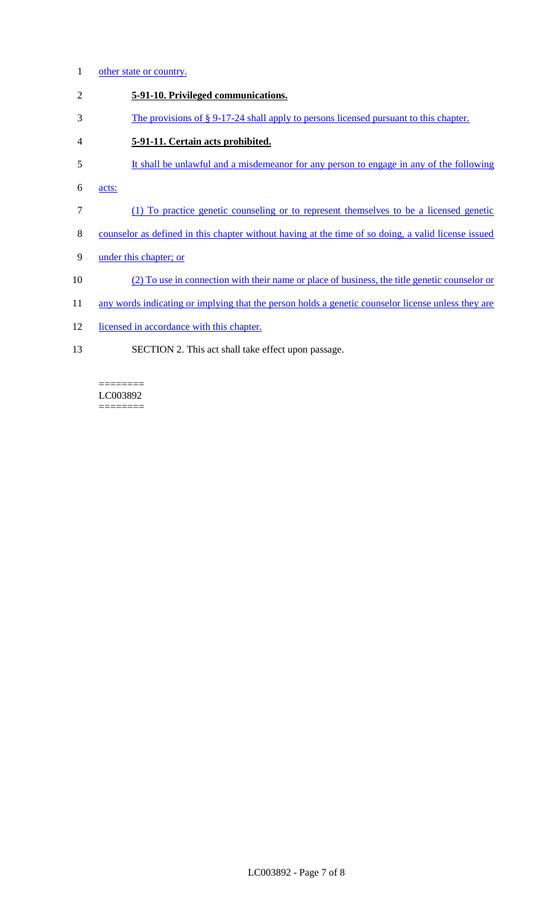- 1 other state or country.
- 2 **5-91-10. Privileged communications.**
- 3 The provisions of § 9-17-24 shall apply to persons licensed pursuant to this chapter.
- 4 **5-91-11. Certain acts prohibited.**
- 5 It shall be unlawful and a misdemeanor for any person to engage in any of the following
- 6 acts:
- 7 (1) To practice genetic counseling or to represent themselves to be a licensed genetic
- 8 counselor as defined in this chapter without having at the time of so doing, a valid license issued
- 9 under this chapter; or
- 10 (2) To use in connection with their name or place of business, the title genetic counselor or
- 11 any words indicating or implying that the person holds a genetic counselor license unless they are
- 12 licensed in accordance with this chapter.
- 13 SECTION 2. This act shall take effect upon passage.

======== LC003892  $=$